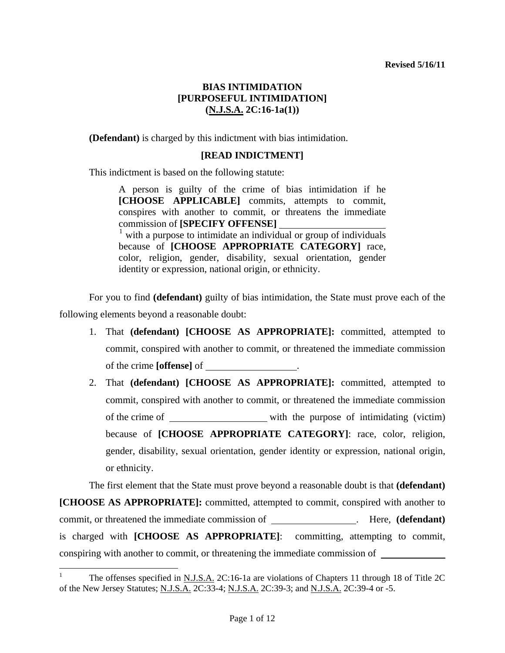**(Defendant)** is charged by this indictment with bias intimidation.

### **[READ INDICTMENT]**

This indictment is based on the following statute:

A person is guilty of the crime of bias intimidation if he **[CHOOSE APPLICABLE]** commits, attempts to commit, conspires with another to commit, or threatens the immediate commission of **[SPECIFY OFFENSE]** [1](#page-1-0)  $\frac{1}{1}$  with a purpose to intimidate an individual or group of individuals because of **[CHOOSE APPROPRIATE CATEGORY]** race, color, religion, gender, disability, sexual orientation, gender identity or expression, national origin, or ethnicity.

For you to find **(defendant)** guilty of bias intimidation, the State must prove each of the following elements beyond a reasonable doubt:

- 1. That **(defendant) [CHOOSE AS APPROPRIATE]:** committed, attempted to commit, conspired with another to commit, or threatened the immediate commission of the crime **[offense]** of .
- 2. That **(defendant) [CHOOSE AS APPROPRIATE]:** committed, attempted to commit, conspired with another to commit, or threatened the immediate commission of the crime of with the purpose of intimidating (victim) because of **[CHOOSE APPROPRIATE CATEGORY]**: race, color, religion, gender, disability, sexual orientation, gender identity or expression, national origin, or ethnicity.

The first element that the State must prove beyond a reasonable doubt is that **(defendant)**

**[CHOOSE AS APPROPRIATE]:** committed, attempted to commit, conspired with another to commit, or threatened the immediate commission of . Here, **(defendant)** is charged with **[CHOOSE AS APPROPRIATE]**: committing, attempting to commit, conspiring with another to commit, or threatening the immediate commission of

<span id="page-0-0"></span> $\overline{a}$ 

<sup>1</sup> The offenses specified in N.J.S.A. 2C:16-1a are violations of Chapters 11 through 18 of Title 2C of the New Jersey Statutes; N.J.S.A. 2C:33-4; N.J.S.A. 2C:39-3; and N.J.S.A. 2C:39-4 or -5.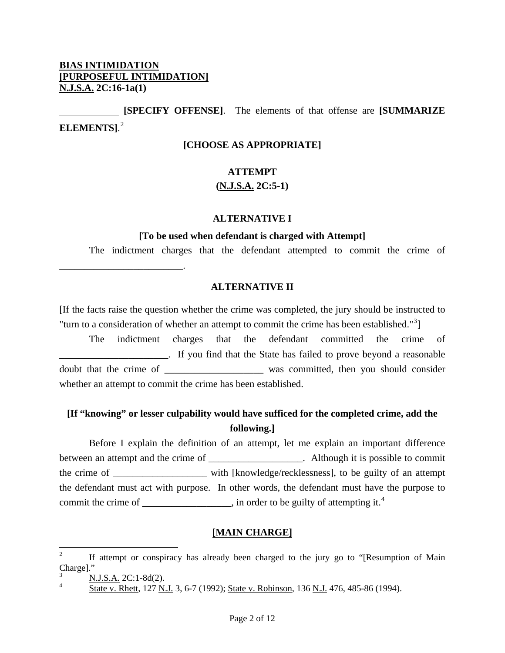\_\_\_\_\_\_\_\_\_\_\_\_\_\_\_\_\_\_\_\_\_\_\_\_\_.

 **[SPECIFY OFFENSE]**. The elements of that offense are **[SUMMARIZE ELEMENTS]**. [2](#page-0-0)

### **[CHOOSE AS APPROPRIATE]**

### **ATTEMPT**

### **(N.J.S.A. 2C:5-1)**

#### **ALTERNATIVE I**

#### **[To be used when defendant is charged with Attempt]**

The indictment charges that the defendant attempted to commit the crime of

#### **ALTERNATIVE II**

[If the facts raise the question whether the crime was completed, the jury should be instructed to "turn to a consideration of whether an attempt to commit the crime has been established." $3$ ]

 The indictment charges that the defendant committed the crime of \_\_\_\_\_\_\_\_\_\_\_\_\_\_\_\_\_\_\_\_\_\_. If you find that the State has failed to prove beyond a reasonable doubt that the crime of was committed, then you should consider whether an attempt to commit the crime has been established.

# **[If "knowing" or lesser culpability would have sufficed for the completed crime, add the following.]**

 Before I explain the definition of an attempt, let me explain an important difference between an attempt and the crime of \_\_\_\_\_\_\_\_\_\_\_\_\_\_\_\_\_\_. Although it is possible to commit the crime of \_\_\_\_\_\_\_\_\_\_\_\_\_\_\_\_\_\_\_ with [knowledge/recklessness], to be guilty of an attempt the defendant must act with purpose. In other words, the defendant must have the purpose to commit the crime of \_\_\_\_\_\_\_\_\_\_\_\_\_\_, in order to be guilty of attempting it.<sup>[4](#page-1-1)</sup>

#### **[MAIN CHARGE]**

<span id="page-1-2"></span> $\frac{1}{2}$  If attempt or conspiracy has already been charged to the jury go to "[Resumption of Main Charge]."

<span id="page-1-0"></span><sup>3</sup> N.J.S.A. 2C:1-8d(2).

<span id="page-1-1"></span><sup>4</sup> State v. Rhett, 127 N.J. 3, 6-7 (1992); State v. Robinson, 136 N.J. 476, 485-86 (1994).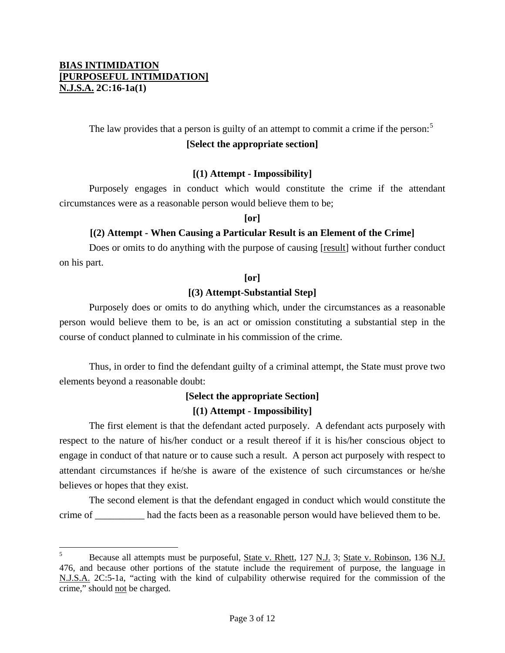$\overline{a}$ 

The law provides that a person is guilty of an attempt to commit a crime if the person:<sup>[5](#page-1-2)</sup> **[Select the appropriate section]** 

### **[(1) Attempt - Impossibility]**

 Purposely engages in conduct which would constitute the crime if the attendant circumstances were as a reasonable person would believe them to be;

**[or]** 

### **[(2) Attempt - When Causing a Particular Result is an Element of the Crime]**

Does or omits to do anything with the purpose of causing [result] without further conduct on his part.

### **[or]**

### **[(3) Attempt-Substantial Step]**

 Purposely does or omits to do anything which, under the circumstances as a reasonable person would believe them to be, is an act or omission constituting a substantial step in the course of conduct planned to culminate in his commission of the crime.

 Thus, in order to find the defendant guilty of a criminal attempt, the State must prove two elements beyond a reasonable doubt:

# **[Select the appropriate Section]**

### **[(1) Attempt - Impossibility]**

 The first element is that the defendant acted purposely. A defendant acts purposely with respect to the nature of his/her conduct or a result thereof if it is his/her conscious object to engage in conduct of that nature or to cause such a result. A person act purposely with respect to attendant circumstances if he/she is aware of the existence of such circumstances or he/she believes or hopes that they exist.

 The second element is that the defendant engaged in conduct which would constitute the crime of \_\_\_\_\_\_\_\_\_\_ had the facts been as a reasonable person would have believed them to be.

<span id="page-2-0"></span><sup>5</sup> Because all attempts must be purposeful, State v. Rhett, 127 N.J. 3; State v. Robinson, 136 N.J. 476, and because other portions of the statute include the requirement of purpose, the language in N.J.S.A. 2C:5-1a, "acting with the kind of culpability otherwise required for the commission of the crime," should not be charged.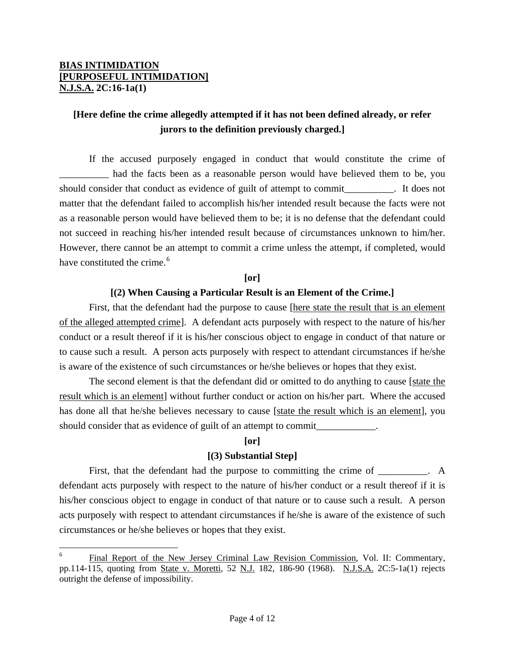1

# **[Here define the crime allegedly attempted if it has not been defined already, or refer jurors to the definition previously charged.]**

 If the accused purposely engaged in conduct that would constitute the crime of had the facts been as a reasonable person would have believed them to be, you should consider that conduct as evidence of guilt of attempt to commit\_\_\_\_\_\_\_\_\_\_. It does not matter that the defendant failed to accomplish his/her intended result because the facts were not as a reasonable person would have believed them to be; it is no defense that the defendant could not succeed in reaching his/her intended result because of circumstances unknown to him/her. However, there cannot be an attempt to commit a crime unless the attempt, if completed, would have constituted the crime.<sup>[6](#page-2-0)</sup>

### **[or]**

### **[(2) When Causing a Particular Result is an Element of the Crime.]**

First, that the defendant had the purpose to cause [here state the result that is an element of the alleged attempted crime]. A defendant acts purposely with respect to the nature of his/her conduct or a result thereof if it is his/her conscious object to engage in conduct of that nature or to cause such a result. A person acts purposely with respect to attendant circumstances if he/she is aware of the existence of such circumstances or he/she believes or hopes that they exist.

 The second element is that the defendant did or omitted to do anything to cause [state the result which is an element] without further conduct or action on his/her part. Where the accused has done all that he/she believes necessary to cause *state the result which is an element*, you should consider that as evidence of guilt of an attempt to commit\_\_\_\_\_\_\_\_\_\_\_\_\_\_\_

### **[or]**

### **[(3) Substantial Step]**

First, that the defendant had the purpose to committing the crime of \_\_\_\_\_\_\_\_. A defendant acts purposely with respect to the nature of his/her conduct or a result thereof if it is his/her conscious object to engage in conduct of that nature or to cause such a result. A person acts purposely with respect to attendant circumstances if he/she is aware of the existence of such circumstances or he/she believes or hopes that they exist.

<span id="page-3-0"></span><sup>6</sup> Final Report of the New Jersey Criminal Law Revision Commission, Vol. II: Commentary, pp.114-115, quoting from State v. Moretti, 52 N.J. 182, 186-90 (1968). N.J.S.A. 2C:5-1a(1) rejects outright the defense of impossibility.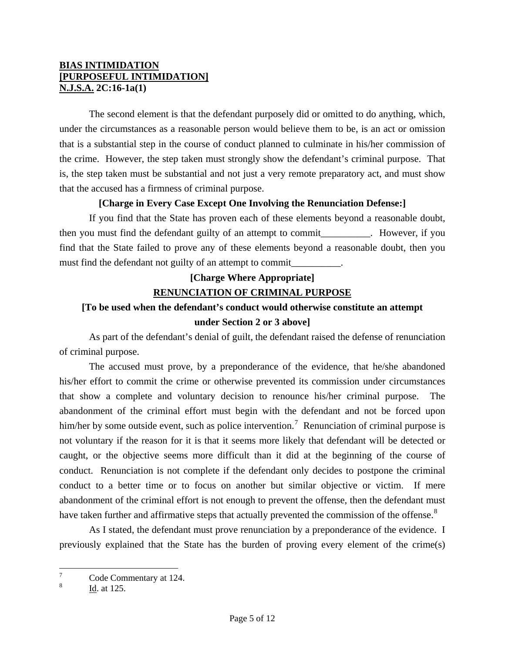The second element is that the defendant purposely did or omitted to do anything, which, under the circumstances as a reasonable person would believe them to be, is an act or omission that is a substantial step in the course of conduct planned to culminate in his/her commission of the crime. However, the step taken must strongly show the defendant's criminal purpose. That is, the step taken must be substantial and not just a very remote preparatory act, and must show that the accused has a firmness of criminal purpose.

### **[Charge in Every Case Except One Involving the Renunciation Defense:]**

 If you find that the State has proven each of these elements beyond a reasonable doubt, then you must find the defendant guilty of an attempt to commit extended by However, if you find that the State failed to prove any of these elements beyond a reasonable doubt, then you must find the defendant not guilty of an attempt to commit\_\_\_\_\_\_\_\_\_\_.

# **[Charge Where Appropriate] RENUNCIATION OF CRIMINAL PURPOSE**

# **[To be used when the defendant's conduct would otherwise constitute an attempt under Section 2 or 3 above]**

 As part of the defendant's denial of guilt, the defendant raised the defense of renunciation of criminal purpose.

 The accused must prove, by a preponderance of the evidence, that he/she abandoned his/her effort to commit the crime or otherwise prevented its commission under circumstances that show a complete and voluntary decision to renounce his/her criminal purpose. The abandonment of the criminal effort must begin with the defendant and not be forced upon him/her by some outside event, such as police intervention.<sup>[7](#page-3-0)</sup> Renunciation of criminal purpose is not voluntary if the reason for it is that it seems more likely that defendant will be detected or caught, or the objective seems more difficult than it did at the beginning of the course of conduct. Renunciation is not complete if the defendant only decides to postpone the criminal conduct to a better time or to focus on another but similar objective or victim. If mere abandonment of the criminal effort is not enough to prevent the offense, then the defendant must have taken further and affirmative steps that actually prevented the commission of the offense.<sup>[8](#page-4-0)</sup>

 As I stated, the defendant must prove renunciation by a preponderance of the evidence. I previously explained that the State has the burden of proving every element of the crime(s)

 $\overline{a}$ 

<sup>7</sup> Code Commentary at 124.

<span id="page-4-1"></span><span id="page-4-0"></span><sup>8</sup> Id. at 125.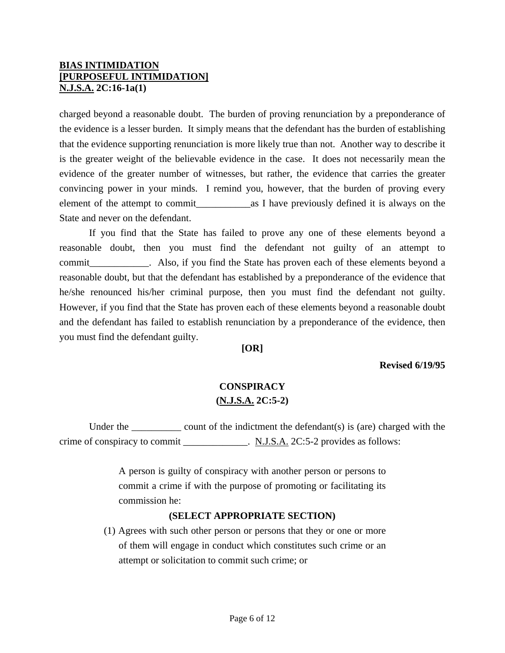charged beyond a reasonable doubt. The burden of proving renunciation by a preponderance of the evidence is a lesser burden. It simply means that the defendant has the burden of establishing that the evidence supporting renunciation is more likely true than not. Another way to describe it is the greater weight of the believable evidence in the case. It does not necessarily mean the evidence of the greater number of witnesses, but rather, the evidence that carries the greater convincing power in your minds. I remind you, however, that the burden of proving every element of the attempt to commit\_\_\_\_\_\_\_\_\_\_\_as I have previously defined it is always on the State and never on the defendant.

 If you find that the State has failed to prove any one of these elements beyond a reasonable doubt, then you must find the defendant not guilty of an attempt to commit\_\_\_\_\_\_\_\_\_\_\_\_. Also, if you find the State has proven each of these elements beyond a reasonable doubt, but that the defendant has established by a preponderance of the evidence that he/she renounced his/her criminal purpose, then you must find the defendant not guilty. However, if you find that the State has proven each of these elements beyond a reasonable doubt and the defendant has failed to establish renunciation by a preponderance of the evidence, then you must find the defendant guilty.

#### **[OR]**

### **Revised 6/19/95**

# **CONSPIRACY (N.J.S.A. 2C:5-2)**

Under the  $\qquad \qquad \text{count of the indictment the defendant(s) is (are) charged with the$ crime of conspiracy to commit \_\_\_\_\_\_\_\_\_\_\_\_. N.J.S.A. 2C:5-2 provides as follows:

> A person is guilty of conspiracy with another person or persons to commit a crime if with the purpose of promoting or facilitating its commission he:

### **(SELECT APPROPRIATE SECTION)**

(1) Agrees with such other person or persons that they or one or more of them will engage in conduct which constitutes such crime or an attempt or solicitation to commit such crime; or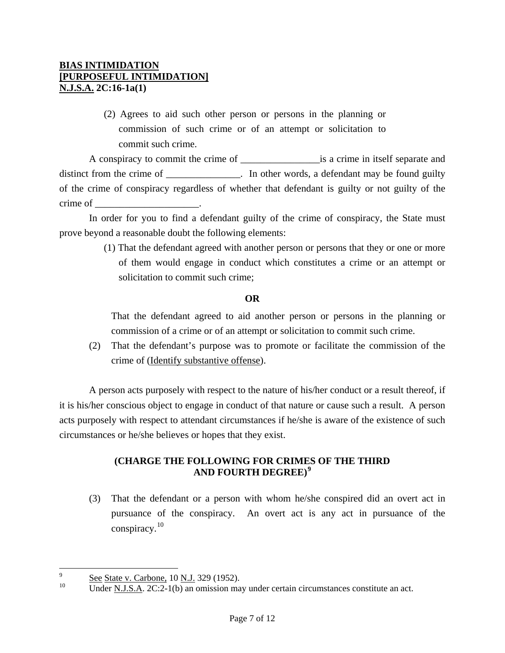(2) Agrees to aid such other person or persons in the planning or commission of such crime or of an attempt or solicitation to commit such crime.

 A conspiracy to commit the crime of \_\_\_\_\_\_\_\_\_\_\_\_\_\_\_\_is a crime in itself separate and distinct from the crime of \_\_\_\_\_\_\_\_\_\_\_\_\_\_. In other words, a defendant may be found guilty of the crime of conspiracy regardless of whether that defendant is guilty or not guilty of the crime of \_\_\_\_\_\_\_\_\_\_\_\_\_\_\_\_\_\_\_\_\_.

 In order for you to find a defendant guilty of the crime of conspiracy, the State must prove beyond a reasonable doubt the following elements:

> (1) That the defendant agreed with another person or persons that they or one or more of them would engage in conduct which constitutes a crime or an attempt or solicitation to commit such crime;

### **OR**

That the defendant agreed to aid another person or persons in the planning or commission of a crime or of an attempt or solicitation to commit such crime.

(2) That the defendant's purpose was to promote or facilitate the commission of the crime of (Identify substantive offense).

 A person acts purposely with respect to the nature of his/her conduct or a result thereof, if it is his/her conscious object to engage in conduct of that nature or cause such a result. A person acts purposely with respect to attendant circumstances if he/she is aware of the existence of such circumstances or he/she believes or hopes that they exist.

# **(CHARGE THE FOLLOWING FOR CRIMES OF THE THIRD AND FOURTH DEGREE)[9](#page-4-1)**

(3) That the defendant or a person with whom he/she conspired did an overt act in pursuance of the conspiracy. An overt act is any act in pursuance of the conspiracy.[10](#page-6-0)

<span id="page-6-1"></span><sup>-&</sup>lt;br>9  $\frac{S_{\text{ee}}}{10}$  See State v. Carbone, 10 N.J. 329 (1952).

<span id="page-6-0"></span>Under <u>N.J.S.A.</u> 2C:2-1(b) an omission may under certain circumstances constitute an act.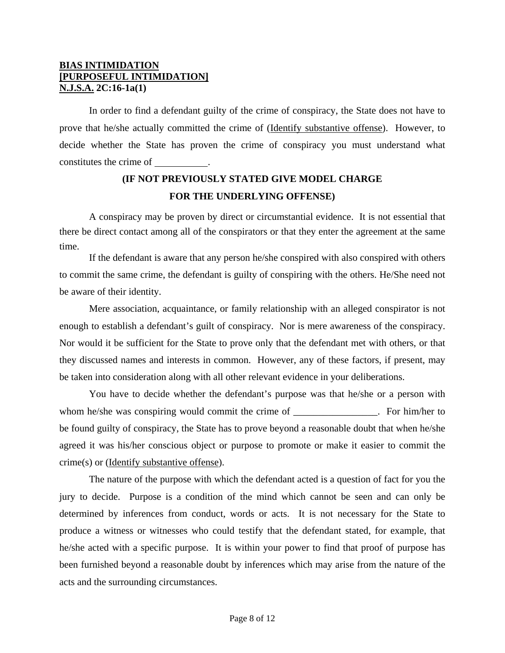In order to find a defendant guilty of the crime of conspiracy, the State does not have to prove that he/she actually committed the crime of (Identify substantive offense). However, to decide whether the State has proven the crime of conspiracy you must understand what constitutes the crime of .

# **(IF NOT PREVIOUSLY STATED GIVE MODEL CHARGE FOR THE UNDERLYING OFFENSE)**

 A conspiracy may be proven by direct or circumstantial evidence. It is not essential that there be direct contact among all of the conspirators or that they enter the agreement at the same time.

 If the defendant is aware that any person he/she conspired with also conspired with others to commit the same crime, the defendant is guilty of conspiring with the others. He/She need not be aware of their identity.

 Mere association, acquaintance, or family relationship with an alleged conspirator is not enough to establish a defendant's guilt of conspiracy. Nor is mere awareness of the conspiracy. Nor would it be sufficient for the State to prove only that the defendant met with others, or that they discussed names and interests in common. However, any of these factors, if present, may be taken into consideration along with all other relevant evidence in your deliberations.

 You have to decide whether the defendant's purpose was that he/she or a person with whom he/she was conspiring would commit the crime of \_\_\_\_\_\_\_\_\_\_\_\_\_\_\_. For him/her to be found guilty of conspiracy, the State has to prove beyond a reasonable doubt that when he/she agreed it was his/her conscious object or purpose to promote or make it easier to commit the crime(s) or (Identify substantive offense).

 The nature of the purpose with which the defendant acted is a question of fact for you the jury to decide. Purpose is a condition of the mind which cannot be seen and can only be determined by inferences from conduct, words or acts. It is not necessary for the State to produce a witness or witnesses who could testify that the defendant stated, for example, that he/she acted with a specific purpose. It is within your power to find that proof of purpose has been furnished beyond a reasonable doubt by inferences which may arise from the nature of the acts and the surrounding circumstances.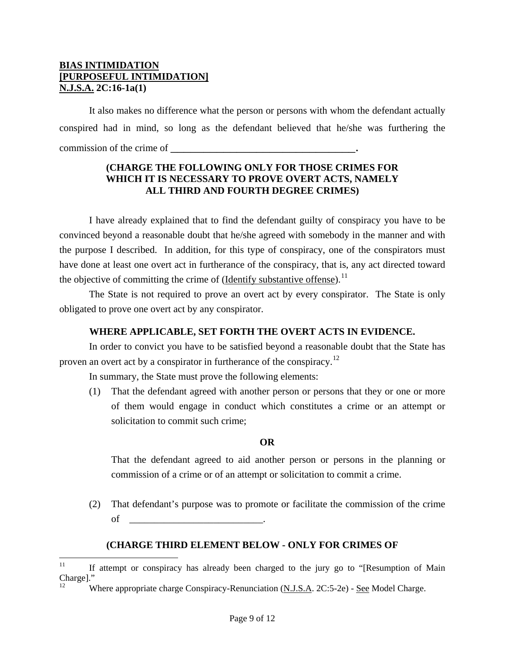It also makes no difference what the person or persons with whom the defendant actually conspired had in mind, so long as the defendant believed that he/she was furthering the commission of the crime of

### **(CHARGE THE FOLLOWING ONLY FOR THOSE CRIMES FOR WHICH IT IS NECESSARY TO PROVE OVERT ACTS, NAMELY ALL THIRD AND FOURTH DEGREE CRIMES)**

 I have already explained that to find the defendant guilty of conspiracy you have to be convinced beyond a reasonable doubt that he/she agreed with somebody in the manner and with the purpose I described. In addition, for this type of conspiracy, one of the conspirators must have done at least one overt act in furtherance of the conspiracy, that is, any act directed toward the objective of committing the crime of  $(Identity)$  substantive offense).<sup>[11](#page-6-1)</sup>

 The State is not required to prove an overt act by every conspirator. The State is only obligated to prove one overt act by any conspirator.

### **WHERE APPLICABLE, SET FORTH THE OVERT ACTS IN EVIDENCE.**

 In order to convict you have to be satisfied beyond a reasonable doubt that the State has proven an overt act by a conspirator in furtherance of the conspiracy.[12](#page-8-0)

In summary, the State must prove the following elements:

(1) That the defendant agreed with another person or persons that they or one or more of them would engage in conduct which constitutes a crime or an attempt or solicitation to commit such crime;

### **OR**

That the defendant agreed to aid another person or persons in the planning or commission of a crime or of an attempt or solicitation to commit a crime.

(2) That defendant's purpose was to promote or facilitate the commission of the crime of \_\_\_\_\_\_\_\_\_\_\_\_\_\_\_\_\_\_\_\_\_\_\_\_\_\_\_.

### **(CHARGE THIRD ELEMENT BELOW - ONLY FOR CRIMES OF**

<span id="page-8-0"></span> $11$ 11 If attempt or conspiracy has already been charged to the jury go to "[Resumption of Main Charge]."

Where appropriate charge Conspiracy-Renunciation (N.J.S.A. 2C:5-2e) - See Model Charge.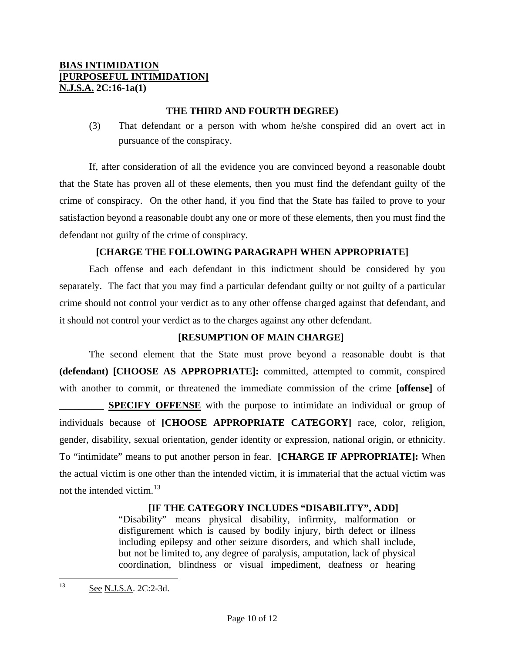### **THE THIRD AND FOURTH DEGREE)**

(3) That defendant or a person with whom he/she conspired did an overt act in pursuance of the conspiracy.

 If, after consideration of all the evidence you are convinced beyond a reasonable doubt that the State has proven all of these elements, then you must find the defendant guilty of the crime of conspiracy. On the other hand, if you find that the State has failed to prove to your satisfaction beyond a reasonable doubt any one or more of these elements, then you must find the defendant not guilty of the crime of conspiracy.

### **[CHARGE THE FOLLOWING PARAGRAPH WHEN APPROPRIATE]**

 Each offense and each defendant in this indictment should be considered by you separately. The fact that you may find a particular defendant guilty or not guilty of a particular crime should not control your verdict as to any other offense charged against that defendant, and it should not control your verdict as to the charges against any other defendant.

### **[RESUMPTION OF MAIN CHARGE]**

 The second element that the State must prove beyond a reasonable doubt is that **(defendant) [CHOOSE AS APPROPRIATE]:** committed, attempted to commit, conspired with another to commit, or threatened the immediate commission of the crime **[offense]** of

**SPECIFY OFFENSE** with the purpose to intimidate an individual or group of individuals because of **[CHOOSE APPROPRIATE CATEGORY]** race, color, religion, gender, disability, sexual orientation, gender identity or expression, national origin, or ethnicity. To "intimidate" means to put another person in fear. **[CHARGE IF APPROPRIATE]:** When the actual victim is one other than the intended victim, it is immaterial that the actual victim was not the intended victim.<sup>[13](#page-8-0)</sup>

### **[IF THE CATEGORY INCLUDES "DISABILITY", ADD]**

"Disability" means physical disability, infirmity, malformation or disfigurement which is caused by bodily injury, birth defect or illness including epilepsy and other seizure disorders, and which shall include, but not be limited to, any degree of paralysis, amputation, lack of physical coordination, blindness or visual impediment, deafness or hearing

<span id="page-9-0"></span> $13$ See N.J.S.A. 2C:2-3d.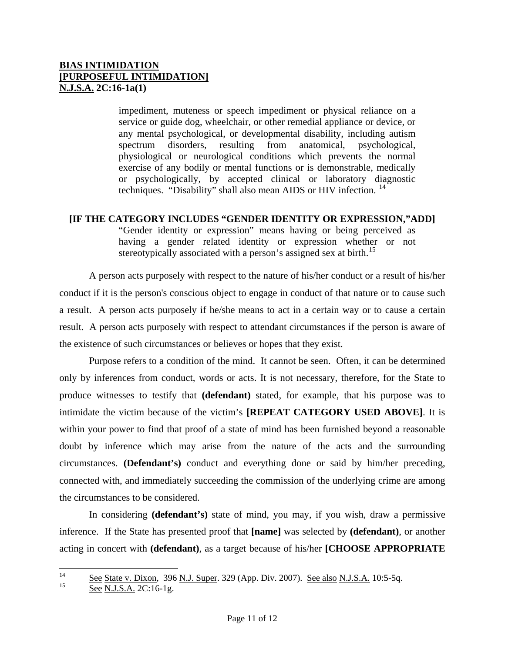impediment, muteness or speech impediment or physical reliance on a service or guide dog, wheelchair, or other remedial appliance or device, or any mental psychological, or developmental disability, including autism spectrum disorders, resulting from anatomical, psychological, physiological or neurological conditions which prevents the normal exercise of any bodily or mental functions or is demonstrable, medically or psychologically, by accepted clinical or laboratory diagnostic techniques. "Disability" shall also mean AIDS or HIV infection. <sup>[14](#page-9-0)</sup>

### **[IF THE CATEGORY INCLUDES "GENDER IDENTITY OR EXPRESSION,"ADD]**

"Gender identity or expression" means having or being perceived as having a gender related identity or expression whether or not stereotypically associated with a person's assigned sex at birth.<sup>[15](#page-10-0)</sup>

 A person acts purposely with respect to the nature of his/her conduct or a result of his/her conduct if it is the person's conscious object to engage in conduct of that nature or to cause such a result. A person acts purposely if he/she means to act in a certain way or to cause a certain result. A person acts purposely with respect to attendant circumstances if the person is aware of the existence of such circumstances or believes or hopes that they exist.

Purpose refers to a condition of the mind. It cannot be seen. Often, it can be determined only by inferences from conduct, words or acts. It is not necessary, therefore, for the State to produce witnesses to testify that **(defendant)** stated, for example, that his purpose was to intimidate the victim because of the victim's **[REPEAT CATEGORY USED ABOVE]**. It is within your power to find that proof of a state of mind has been furnished beyond a reasonable doubt by inference which may arise from the nature of the acts and the surrounding circumstances. **(Defendant's)** conduct and everything done or said by him/her preceding, connected with, and immediately succeeding the commission of the underlying crime are among the circumstances to be considered.

In considering **(defendant's)** state of mind, you may, if you wish, draw a permissive inference. If the State has presented proof that **[name]** was selected by **(defendant)**, or another acting in concert with **(defendant)**, as a target because of his/her **[CHOOSE APPROPRIATE** 

<span id="page-10-0"></span>See N.J.S.A. 2C:16-1g.

 $14$  $\frac{14}{15}$  See State v. Dixon, 396 N.J. Super. 329 (App. Div. 2007). See also N.J.S.A. 10:5-5q.